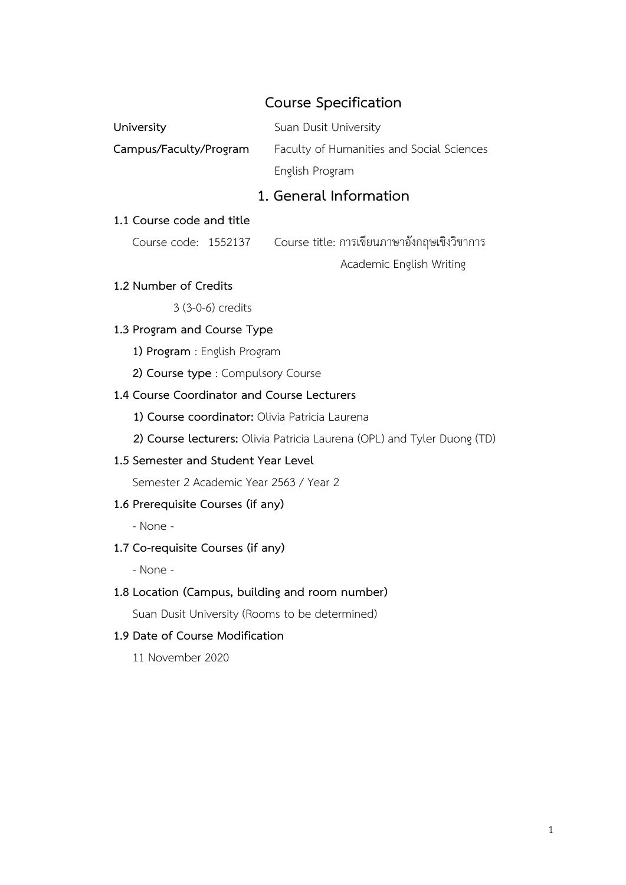# **Course Specification**

|                                                 | codise specification.                                                   |  |  |  |
|-------------------------------------------------|-------------------------------------------------------------------------|--|--|--|
| University                                      | Suan Dusit University                                                   |  |  |  |
| Campus/Faculty/Program                          | Faculty of Humanities and Social Sciences                               |  |  |  |
|                                                 | English Program                                                         |  |  |  |
|                                                 | 1. General Information                                                  |  |  |  |
| 1.1 Course code and title                       |                                                                         |  |  |  |
| Course code: 1552137                            | Course title: การเขียนภาษาอังกฤษเชิงวิชาการ                             |  |  |  |
|                                                 | Academic English Writing                                                |  |  |  |
| 1.2 Number of Credits                           |                                                                         |  |  |  |
| 3 (3-0-6) credits                               |                                                                         |  |  |  |
| 1.3 Program and Course Type                     |                                                                         |  |  |  |
| 1) Program : English Program                    |                                                                         |  |  |  |
| 2) Course type : Compulsory Course              |                                                                         |  |  |  |
| 1.4 Course Coordinator and Course Lecturers     |                                                                         |  |  |  |
| 1) Course coordinator: Olivia Patricia Laurena  |                                                                         |  |  |  |
|                                                 | 2) Course lecturers: Olivia Patricia Laurena (OPL) and Tyler Duong (TD) |  |  |  |
| 1.5 Semester and Student Year Level             |                                                                         |  |  |  |
| Semester 2 Academic Year 2563 / Year 2          |                                                                         |  |  |  |
| 1.6 Prerequisite Courses (if any)               |                                                                         |  |  |  |
| - None -                                        |                                                                         |  |  |  |
| 1.7 Co-requisite Courses (if any)               |                                                                         |  |  |  |
| - None -                                        |                                                                         |  |  |  |
| 1.8 Location (Campus, building and room number) |                                                                         |  |  |  |
| Suan Dusit University (Rooms to be determined)  |                                                                         |  |  |  |
| 1.9 Date of Course Modification                 |                                                                         |  |  |  |
|                                                 |                                                                         |  |  |  |

11 November 2020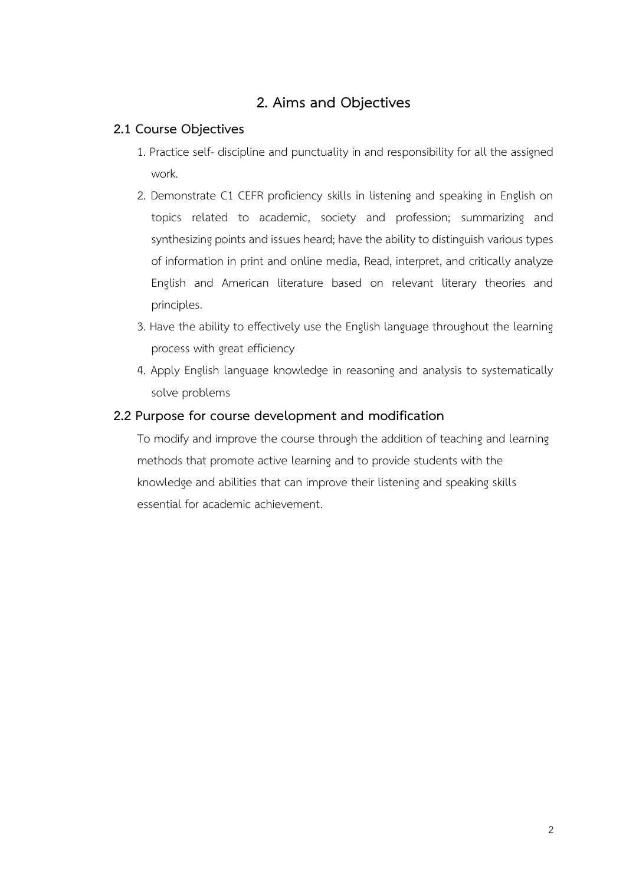# **2. Aims and Objectives**

#### **2.1 Course Objectives**

- 1. Practice self- discipline and punctuality in and responsibility for all the assigned work.
- 2. Demonstrate C1 CEFR proficiency skills in listening and speaking in English on topics related to academic, society and profession; summarizing and synthesizing points and issues heard; have the ability to distinguish various types of information in print and online media, Read, interpret, and critically analyze English and American literature based on relevant literary theories and principles.
- 3. Have the ability to effectively use the English language throughout the learning process with great efficiency
- 4. Apply English language knowledge in reasoning and analysis to systematically solve problems

### **2.2 Purpose for course development and modification**

To modify and improve the course through the addition of teaching and learning methods that promote active learning and to provide students with the knowledge and abilities that can improve their listening and speaking skills essential for academic achievement.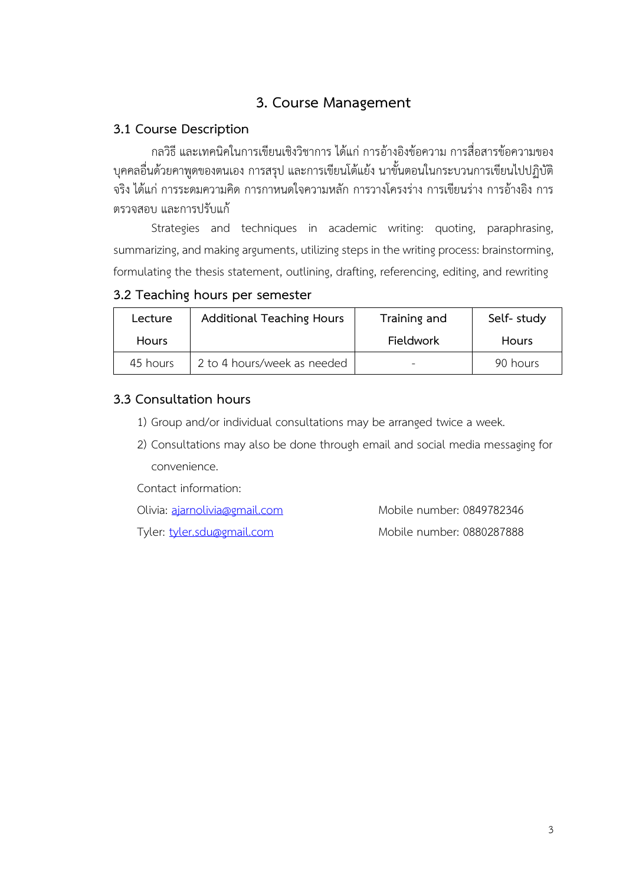# **3. Course Management**

## **3.1 Course Description**

กลวิธีและเทคนิคในการเขียนเชิงวิชาการ ได้แก่การอ้างอิงข้อความ การสื่อสารข้อความของ บุคคลอื่นด้วยคาพูดของตนเอง การสรุป และการเขียนโต้แย้ง นาขั้นตอนในกระบวนการเขียนไปปฏิบัติ จริง ได้แก่ การระดมความคิด การกาหนดใจความหลัก การวางโครงร่าง การเขียนร่าง การอ้างอิง การ ตรวจสอบ และการปรับแก้

Strategies and techniques in academic writing: quoting, paraphrasing, summarizing, and making arguments, utilizing steps in the writing process: brainstorming, formulating the thesis statement, outlining, drafting, referencing, editing, and rewriting

| 3.2 Teaching hours per semester |  |  |  |  |  |
|---------------------------------|--|--|--|--|--|
|---------------------------------|--|--|--|--|--|

| Lecture      | <b>Additional Teaching Hours</b> | Training and | Self-study   |
|--------------|----------------------------------|--------------|--------------|
| <b>Hours</b> |                                  | Fieldwork    | <b>Hours</b> |
| 45 hours     | 2 to 4 hours/week as needed      |              | 90 hours     |

### **3.3 Consultation hours**

- 1) Group and/or individual consultations may be arranged twice a week.
- 2) Consultations may also be done through email and social media messaging for convenience.

Contact information:

Olivia: [ajarnolivia@gmail.com](mailto:ajarnolivia@gmail.com) Mobile number: 0849782346

Tyler: [tyler.sdu@gmail.com](mailto:tyler.sdu@gmail.com) Mobile number: 0880287888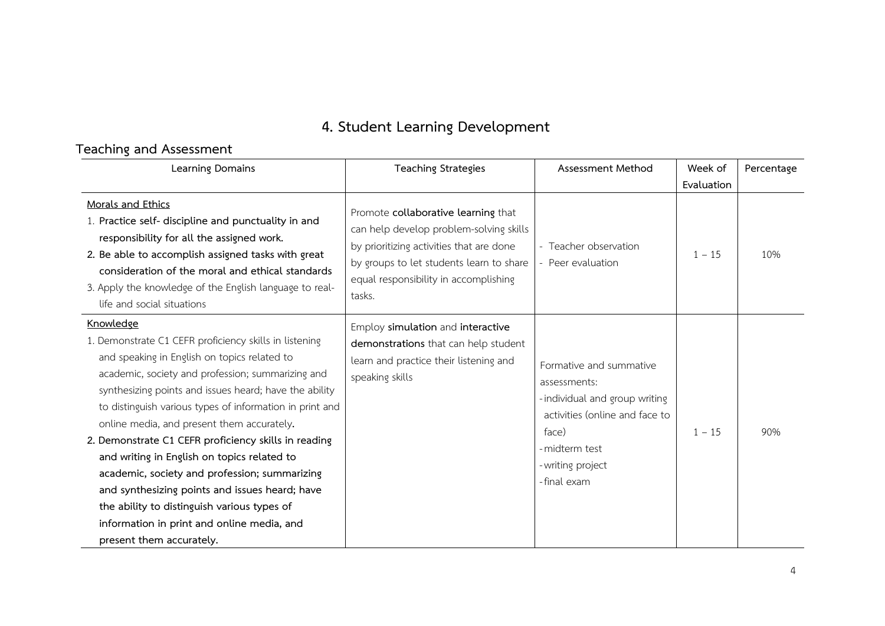# **4. Student Learning Development**

# **Teaching and Assessment**

| Learning Domains                                                                                                                                                                                                                                                                                                                                                                                                                                                                                                                                                                                                                                                                | <b>Teaching Strategies</b>                                                                                                                                                                                                | Assessment Method                                                                                                                                                          | Week of    | Percentage |
|---------------------------------------------------------------------------------------------------------------------------------------------------------------------------------------------------------------------------------------------------------------------------------------------------------------------------------------------------------------------------------------------------------------------------------------------------------------------------------------------------------------------------------------------------------------------------------------------------------------------------------------------------------------------------------|---------------------------------------------------------------------------------------------------------------------------------------------------------------------------------------------------------------------------|----------------------------------------------------------------------------------------------------------------------------------------------------------------------------|------------|------------|
|                                                                                                                                                                                                                                                                                                                                                                                                                                                                                                                                                                                                                                                                                 |                                                                                                                                                                                                                           |                                                                                                                                                                            | Evaluation |            |
| Morals and Ethics<br>1. Practice self- discipline and punctuality in and<br>responsibility for all the assigned work.<br>2. Be able to accomplish assigned tasks with great<br>consideration of the moral and ethical standards<br>3. Apply the knowledge of the English language to real-<br>life and social situations                                                                                                                                                                                                                                                                                                                                                        | Promote collaborative learning that<br>can help develop problem-solving skills<br>by prioritizing activities that are done<br>by groups to let students learn to share<br>equal responsibility in accomplishing<br>tasks. | - Teacher observation<br>Peer evaluation                                                                                                                                   | $1 - 15$   | 10%        |
| Knowledge<br>1. Demonstrate C1 CEFR proficiency skills in listening<br>and speaking in English on topics related to<br>academic, society and profession; summarizing and<br>synthesizing points and issues heard; have the ability<br>to distinguish various types of information in print and<br>online media, and present them accurately.<br>2. Demonstrate C1 CEFR proficiency skills in reading<br>and writing in English on topics related to<br>academic, society and profession; summarizing<br>and synthesizing points and issues heard; have<br>the ability to distinguish various types of<br>information in print and online media, and<br>present them accurately. | Employ simulation and interactive<br>demonstrations that can help student<br>learn and practice their listening and<br>speaking skills                                                                                    | Formative and summative<br>assessments:<br>- individual and group writing<br>activities (online and face to<br>face)<br>- midterm test<br>- writing project<br>-final exam | $1 - 15$   | 90%        |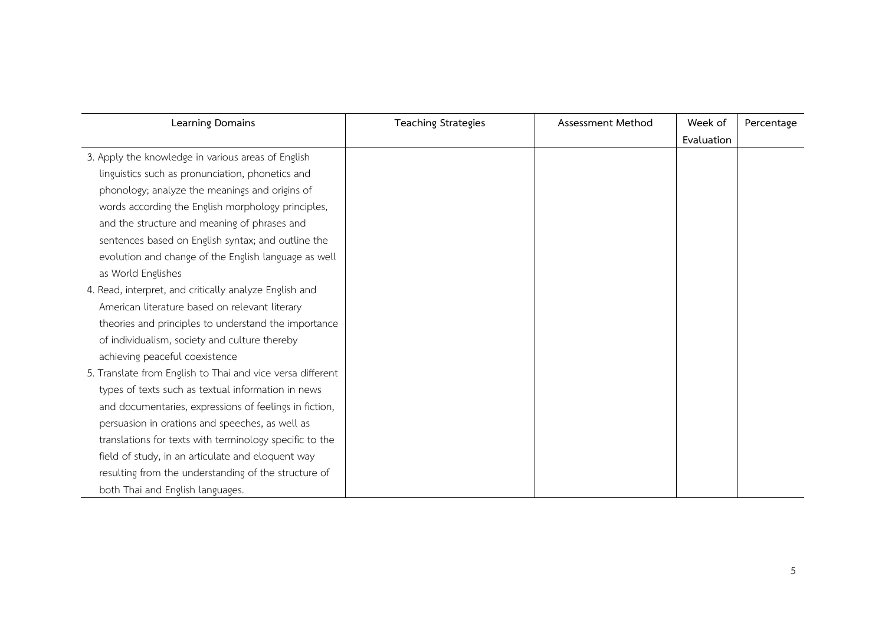| Learning Domains                                           | <b>Teaching Strategies</b> | Assessment Method | Week of    | Percentage |
|------------------------------------------------------------|----------------------------|-------------------|------------|------------|
|                                                            |                            |                   | Evaluation |            |
| 3. Apply the knowledge in various areas of English         |                            |                   |            |            |
| linguistics such as pronunciation, phonetics and           |                            |                   |            |            |
| phonology; analyze the meanings and origins of             |                            |                   |            |            |
| words according the English morphology principles,         |                            |                   |            |            |
| and the structure and meaning of phrases and               |                            |                   |            |            |
| sentences based on English syntax; and outline the         |                            |                   |            |            |
| evolution and change of the English language as well       |                            |                   |            |            |
| as World Englishes                                         |                            |                   |            |            |
| 4. Read, interpret, and critically analyze English and     |                            |                   |            |            |
| American literature based on relevant literary             |                            |                   |            |            |
| theories and principles to understand the importance       |                            |                   |            |            |
| of individualism, society and culture thereby              |                            |                   |            |            |
| achieving peaceful coexistence                             |                            |                   |            |            |
| 5. Translate from English to Thai and vice versa different |                            |                   |            |            |
| types of texts such as textual information in news         |                            |                   |            |            |
| and documentaries, expressions of feelings in fiction,     |                            |                   |            |            |
| persuasion in orations and speeches, as well as            |                            |                   |            |            |
| translations for texts with terminology specific to the    |                            |                   |            |            |
| field of study, in an articulate and eloquent way          |                            |                   |            |            |
| resulting from the understanding of the structure of       |                            |                   |            |            |
| both Thai and English languages.                           |                            |                   |            |            |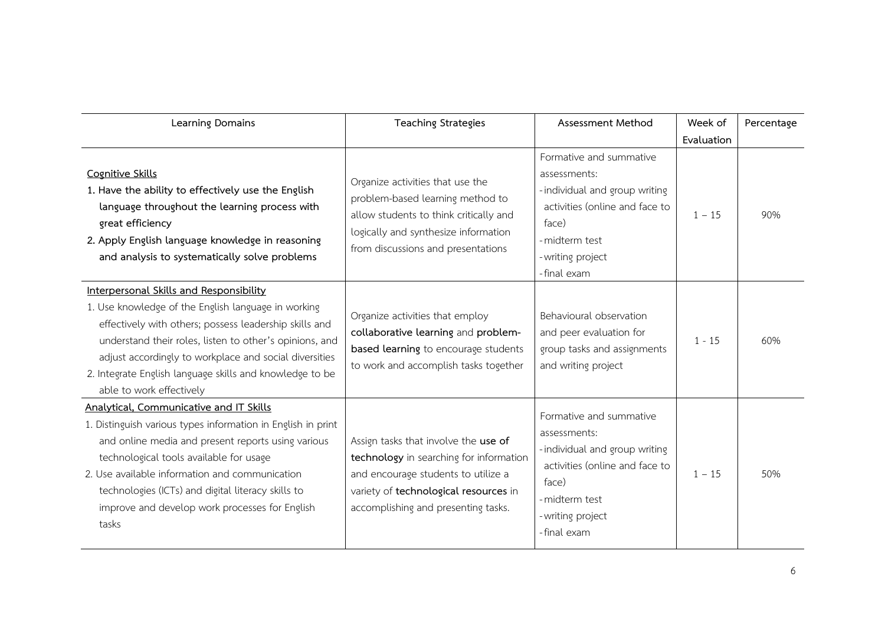| Learning Domains                                                                                                                                                                                                                                                                                                                                                            | <b>Teaching Strategies</b>                                                                                                                                                                             | Assessment Method                                                                                                                                                          | Week of<br>Evaluation | Percentage |
|-----------------------------------------------------------------------------------------------------------------------------------------------------------------------------------------------------------------------------------------------------------------------------------------------------------------------------------------------------------------------------|--------------------------------------------------------------------------------------------------------------------------------------------------------------------------------------------------------|----------------------------------------------------------------------------------------------------------------------------------------------------------------------------|-----------------------|------------|
| Cognitive Skills<br>1. Have the ability to effectively use the English<br>language throughout the learning process with<br>great efficiency<br>2. Apply English language knowledge in reasoning<br>and analysis to systematically solve problems                                                                                                                            | Organize activities that use the<br>problem-based learning method to<br>allow students to think critically and<br>logically and synthesize information<br>from discussions and presentations           | Formative and summative<br>assessments:<br>- individual and group writing<br>activities (online and face to<br>face)<br>- midterm test<br>- writing project<br>-final exam | $1 - 15$              | 90%        |
| Interpersonal Skills and Responsibility<br>1. Use knowledge of the English language in working<br>effectively with others; possess leadership skills and<br>understand their roles, listen to other's opinions, and<br>adjust accordingly to workplace and social diversities<br>2. Integrate English language skills and knowledge to be<br>able to work effectively       | Organize activities that employ<br>collaborative learning and problem-<br>based learning to encourage students<br>to work and accomplish tasks together                                                | Behavioural observation<br>and peer evaluation for<br>group tasks and assignments<br>and writing project                                                                   | $1 - 15$              | 60%        |
| Analytical, Communicative and IT Skills<br>1. Distinguish various types information in English in print<br>and online media and present reports using various<br>technological tools available for usage<br>2. Use available information and communication<br>technologies (ICTs) and digital literacy skills to<br>improve and develop work processes for English<br>tasks | Assign tasks that involve the use of<br>technology in searching for information<br>and encourage students to utilize a<br>variety of technological resources in<br>accomplishing and presenting tasks. | Formative and summative<br>assessments:<br>- individual and group writing<br>activities (online and face to<br>face)<br>- midterm test<br>- writing project<br>-final exam | $1 - 15$              | 50%        |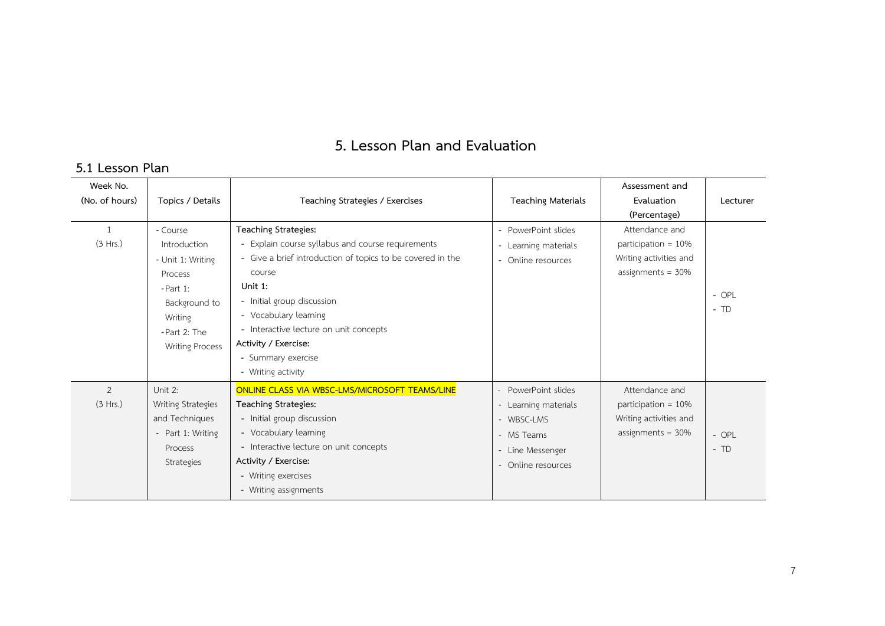# **5. Lesson Plan and Evaluation**

# **5.1 Lesson Plan**

| Week No.<br>(No. of hours) | Topics / Details                                                                                                                              | Teaching Strategies / Exercises                                                                                                                                                                                                                                                                                                   | <b>Teaching Materials</b>                                                                                       | Assessment and<br>Evaluation<br>(Percentage)                                               | Lecturer         |
|----------------------------|-----------------------------------------------------------------------------------------------------------------------------------------------|-----------------------------------------------------------------------------------------------------------------------------------------------------------------------------------------------------------------------------------------------------------------------------------------------------------------------------------|-----------------------------------------------------------------------------------------------------------------|--------------------------------------------------------------------------------------------|------------------|
| (3 Hrs.)                   | - Course<br>Introduction<br>- Unit 1: Writing<br>Process<br>$- Part 1:$<br>Background to<br>Writing<br>-Part 2: The<br><b>Writing Process</b> | Teaching Strategies:<br>- Explain course syllabus and course requirements<br>- Give a brief introduction of topics to be covered in the<br>course<br>Unit 1:<br>- Initial group discussion<br>- Vocabulary learning<br>- Interactive lecture on unit concepts<br>Activity / Exercise:<br>- Summary exercise<br>- Writing activity | - PowerPoint slides<br>- Learning materials<br>- Online resources                                               | Attendance and<br>participation = $10\%$<br>Writing activities and<br>assignments = $30\%$ | $-$ OPL<br>$-TD$ |
| 2<br>(3 Hrs.)              | Unit 2:<br><b>Writing Strategies</b><br>and Techniques<br>- Part 1: Writing<br>Process<br>Strategies                                          | <b>ONLINE CLASS VIA WBSC-LMS/MICROSOFT TEAMS/LINE</b><br>Teaching Strategies:<br>- Initial group discussion<br>- Vocabulary learning<br>- Interactive lecture on unit concepts<br>Activity / Exercise:<br>- Writing exercises<br>- Writing assignments                                                                            | PowerPoint slides<br>- Learning materials<br>- WBSC-LMS<br>- MS Teams<br>- Line Messenger<br>- Online resources | Attendance and<br>participation = $10\%$<br>Writing activities and<br>assignments = $30\%$ | $-$ OPL<br>$-TD$ |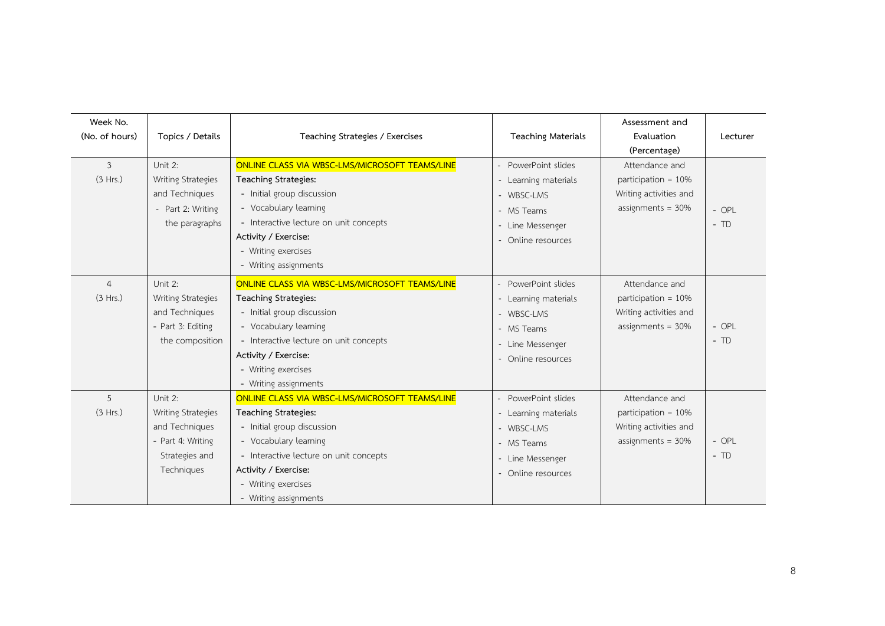| Week No.<br>(No. of hours) | Topics / Details                                                                                     | Teaching Strategies / Exercises                                                                                                                                                                                                                        | <b>Teaching Materials</b>                                                                                       | Assessment and<br>Evaluation<br>(Percentage)                                               | Lecturer         |
|----------------------------|------------------------------------------------------------------------------------------------------|--------------------------------------------------------------------------------------------------------------------------------------------------------------------------------------------------------------------------------------------------------|-----------------------------------------------------------------------------------------------------------------|--------------------------------------------------------------------------------------------|------------------|
| $\mathfrak{Z}$<br>(3 Hrs.) | Unit 2:<br>Writing Strategies<br>and Techniques<br>Part 2: Writing<br>the paragraphs                 | ONLINE CLASS VIA WBSC-LMS/MICROSOFT TEAMS/LINE<br>Teaching Strategies:<br>- Initial group discussion<br>- Vocabulary learning<br>- Interactive lecture on unit concepts<br>Activity / Exercise:<br>- Writing exercises<br>- Writing assignments        | PowerPoint slides<br>- Learning materials<br>- WBSC-LMS<br>- MS Teams<br>- Line Messenger<br>- Online resources | Attendance and<br>participation = 10%<br>Writing activities and<br>assignments = $30\%$    | $-$ OPL<br>$-TD$ |
| $\overline{4}$<br>(3 Hrs.) | Unit 2:<br>Writing Strategies<br>and Techniques<br>- Part 3: Editing<br>the composition              | ONLINE CLASS VIA WBSC-LMS/MICROSOFT TEAMS/LINE<br>Teaching Strategies:<br>- Initial group discussion<br>- Vocabulary learning<br>- Interactive lecture on unit concepts<br>Activity / Exercise:<br>- Writing exercises<br>- Writing assignments        | PowerPoint slides<br>- Learning materials<br>- WBSC-LMS<br>- MS Teams<br>- Line Messenger<br>- Online resources | Attendance and<br>participation = $10\%$<br>Writing activities and<br>assignments = $30\%$ | $-$ OPL<br>$-TD$ |
| 5<br>(3 Hrs.)              | Unit 2:<br>Writing Strategies<br>and Techniques<br>- Part 4: Writing<br>Strategies and<br>Techniques | ONLINE CLASS VIA WBSC-LMS/MICROSOFT TEAMS/LINE<br><b>Teaching Strategies:</b><br>- Initial group discussion<br>- Vocabulary learning<br>- Interactive lecture on unit concepts<br>Activity / Exercise:<br>- Writing exercises<br>- Writing assignments | PowerPoint slides<br>- Learning materials<br>- WBSC-LMS<br>- MS Teams<br>Line Messenger<br>- Online resources   | Attendance and<br>participation = 10%<br>Writing activities and<br>assignments = $30\%$    | $-$ OPL<br>$-TD$ |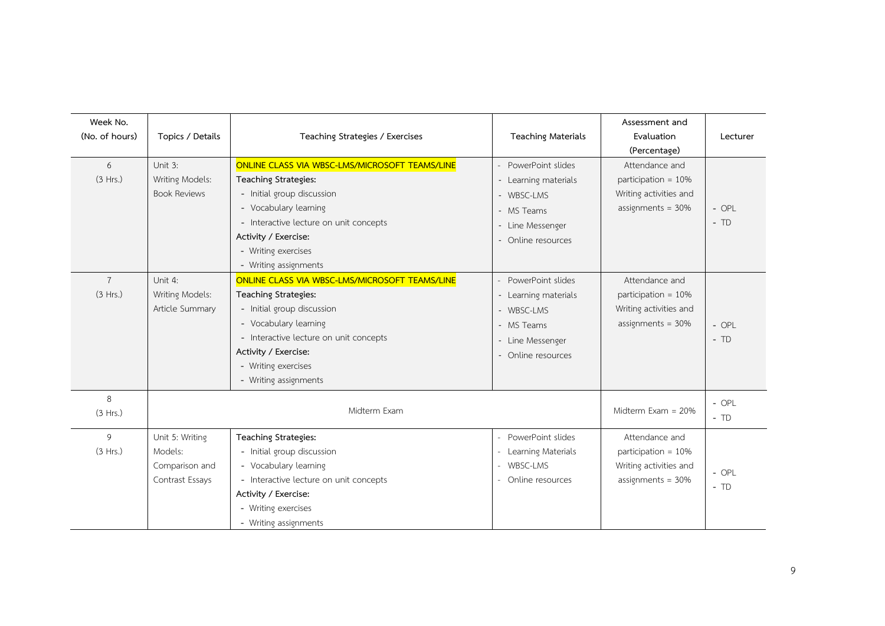| Week No.<br>(No. of hours) | Topics / Details                                                | Teaching Strategies / Exercises                                                                                                                                                                                                                                                 | <b>Teaching Materials</b>                                                                                       | Assessment and<br>Evaluation<br>(Percentage)                                               | Lecturer         |
|----------------------------|-----------------------------------------------------------------|---------------------------------------------------------------------------------------------------------------------------------------------------------------------------------------------------------------------------------------------------------------------------------|-----------------------------------------------------------------------------------------------------------------|--------------------------------------------------------------------------------------------|------------------|
| 6<br>(3 Hrs.)              | Unit 3:<br>Writing Models:<br><b>Book Reviews</b>               | ONLINE CLASS VIA WBSC-LMS/MICROSOFT TEAMS/LINE<br>Teaching Strategies:<br>- Initial group discussion<br>- Vocabulary learning<br>- Interactive lecture on unit concepts<br>Activity / Exercise:<br>- Writing exercises                                                          | PowerPoint slides<br>- Learning materials<br>- WBSC-LMS<br>- MS Teams<br>- Line Messenger<br>- Online resources | Attendance and<br>participation = 10%<br>Writing activities and<br>assignments = $30\%$    | - OPL<br>$-TD$   |
| $\overline{7}$<br>(3 Hrs.) | Unit 4:<br>Writing Models:<br>Article Summary                   | - Writing assignments<br>ONLINE CLASS VIA WBSC-LMS/MICROSOFT TEAMS/LINE<br><b>Teaching Strategies:</b><br>- Initial group discussion<br>- Vocabulary learning<br>- Interactive lecture on unit concepts<br>Activity / Exercise:<br>- Writing exercises<br>- Writing assignments | PowerPoint slides<br>- Learning materials<br>- WBSC-LMS<br>- MS Teams<br>- Line Messenger<br>Online resources   | Attendance and<br>participation = $10\%$<br>Writing activities and<br>assignments = $30\%$ | $-$ OPL<br>$-TD$ |
| 8<br>(3 Hrs.)              |                                                                 | Midterm Exam                                                                                                                                                                                                                                                                    |                                                                                                                 | Midterm $Exam = 20%$                                                                       | $-$ OPL<br>$-TD$ |
| 9<br>(3 Hrs.)              | Unit 5: Writing<br>Models:<br>Comparison and<br>Contrast Essays | <b>Teaching Strategies:</b><br>- Initial group discussion<br>- Vocabulary learning<br>- Interactive lecture on unit concepts<br>Activity / Exercise:<br>- Writing exercises<br>- Writing assignments                                                                            | PowerPoint slides<br>Learning Materials<br>- WBSC-LMS<br>Online resources                                       | Attendance and<br>participation = $10\%$<br>Writing activities and<br>assignments = $30%$  | $-$ OPL<br>$-TD$ |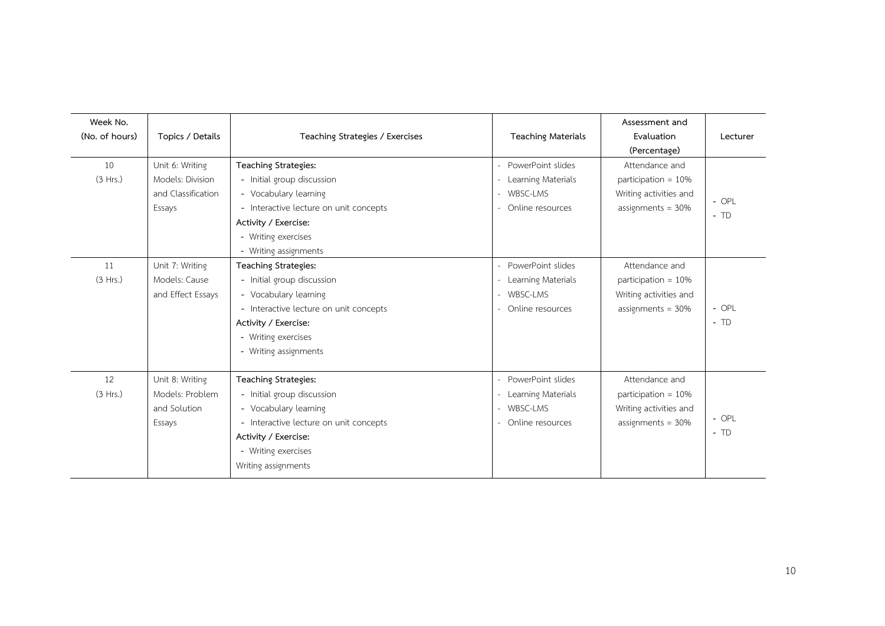| Week No.<br>(No. of hours) | Topics / Details                                                    | Teaching Strategies / Exercises                                                                                                                                                                      | <b>Teaching Materials</b>                                               | Assessment and<br>Evaluation<br>(Percentage)                                               | Lecturer         |
|----------------------------|---------------------------------------------------------------------|------------------------------------------------------------------------------------------------------------------------------------------------------------------------------------------------------|-------------------------------------------------------------------------|--------------------------------------------------------------------------------------------|------------------|
| 10<br>(3 Hrs.)             | Unit 6: Writing<br>Models: Division<br>and Classification<br>Essays | Teaching Strategies:<br>- Initial group discussion<br>- Vocabulary learning<br>- Interactive lecture on unit concepts<br>Activity / Exercise:<br>- Writing exercises<br>- Writing assignments        | PowerPoint slides<br>Learning Materials<br>WBSC-LMS<br>Online resources | Attendance and<br>participation = $10\%$<br>Writing activities and<br>assignments = $30\%$ | $-$ OPL<br>$-TD$ |
| 11<br>(3 Hrs.)             | Unit 7: Writing<br>Models: Cause<br>and Effect Essays               | <b>Teaching Strategies:</b><br>- Initial group discussion<br>- Vocabulary learning<br>- Interactive lecture on unit concepts<br>Activity / Exercise:<br>- Writing exercises<br>- Writing assignments | PowerPoint slides<br>Learning Materials<br>WBSC-LMS<br>Online resources | Attendance and<br>participation = $10\%$<br>Writing activities and<br>assignments = $30\%$ | $-$ OPL<br>$-TD$ |
| 12<br>(3 Hrs.)             | Unit 8: Writing<br>Models: Problem<br>and Solution<br>Essays        | <b>Teaching Strategies:</b><br>- Initial group discussion<br>- Vocabulary learning<br>- Interactive lecture on unit concepts<br>Activity / Exercise:<br>- Writing exercises<br>Writing assignments   | PowerPoint slides<br>Learning Materials<br>WBSC-LMS<br>Online resources | Attendance and<br>participation = $10\%$<br>Writing activities and<br>assignments = $30\%$ | $-$ OPL<br>$-TD$ |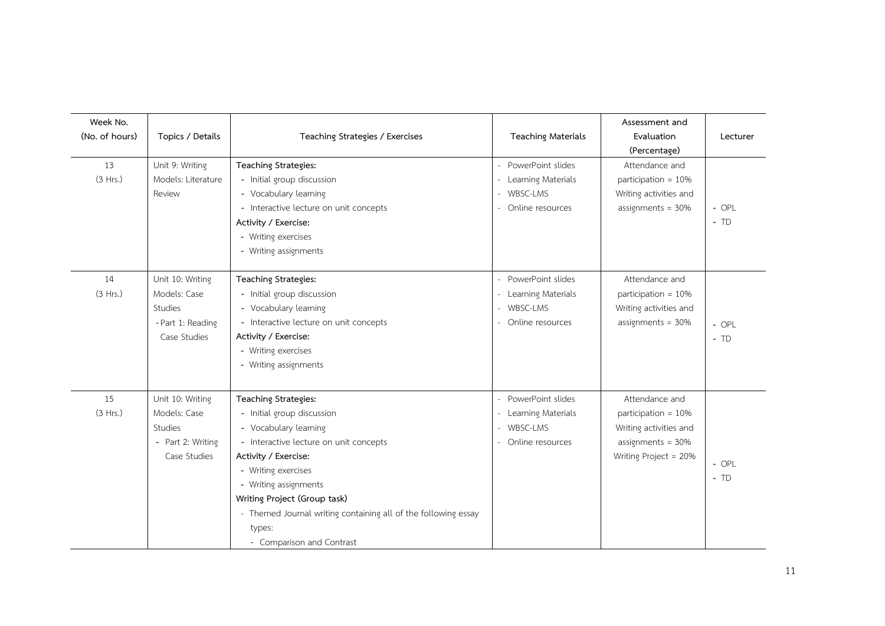| Week No.<br>(No. of hours) | Topics / Details                                                                 | Teaching Strategies / Exercises                                                                                                                                                                                                                                                                                                        | <b>Teaching Materials</b>                                                 | Assessment and<br>Evaluation<br>(Percentage)                                                                     | Lecturer         |
|----------------------------|----------------------------------------------------------------------------------|----------------------------------------------------------------------------------------------------------------------------------------------------------------------------------------------------------------------------------------------------------------------------------------------------------------------------------------|---------------------------------------------------------------------------|------------------------------------------------------------------------------------------------------------------|------------------|
| 13<br>(3 Hrs.)             | Unit 9: Writing<br>Models: Literature<br>Review                                  | Teaching Strategies:<br>- Initial group discussion<br>- Vocabulary learning<br>- Interactive lecture on unit concepts<br>Activity / Exercise:<br>- Writing exercises<br>- Writing assignments                                                                                                                                          | - PowerPoint slides<br>Learning Materials<br>WBSC-LMS<br>Online resources | Attendance and<br>participation = 10%<br>Writing activities and<br>assignments = $30\%$                          | $-$ OPL<br>$-TD$ |
| 14<br>(3 Hrs.)             | Unit 10: Writing<br>Models: Case<br>Studies<br>- Part 1: Reading<br>Case Studies | Teaching Strategies:<br>- Initial group discussion<br>- Vocabulary learning<br>- Interactive lecture on unit concepts<br>Activity / Exercise:<br>- Writing exercises<br>- Writing assignments                                                                                                                                          | PowerPoint slides<br>Learning Materials<br>WBSC-LMS<br>Online resources   | Attendance and<br>participation = 10%<br>Writing activities and<br>assignments = $30\%$                          | $-$ OPL<br>$-TD$ |
| 15<br>(3 Hrs.)             | Unit 10: Writing<br>Models: Case<br>Studies<br>- Part 2: Writing<br>Case Studies | Teaching Strategies:<br>- Initial group discussion<br>- Vocabulary learning<br>- Interactive lecture on unit concepts<br>Activity / Exercise:<br>- Writing exercises<br>- Writing assignments<br>Writing Project (Group task)<br>- Themed Journal writing containing all of the following essay<br>types:<br>- Comparison and Contrast | PowerPoint slides<br>Learning Materials<br>WBSC-LMS<br>Online resources   | Attendance and<br>participation = 10%<br>Writing activities and<br>assignments = $30\%$<br>Writing Project = 20% | $-$ OPL<br>$-TD$ |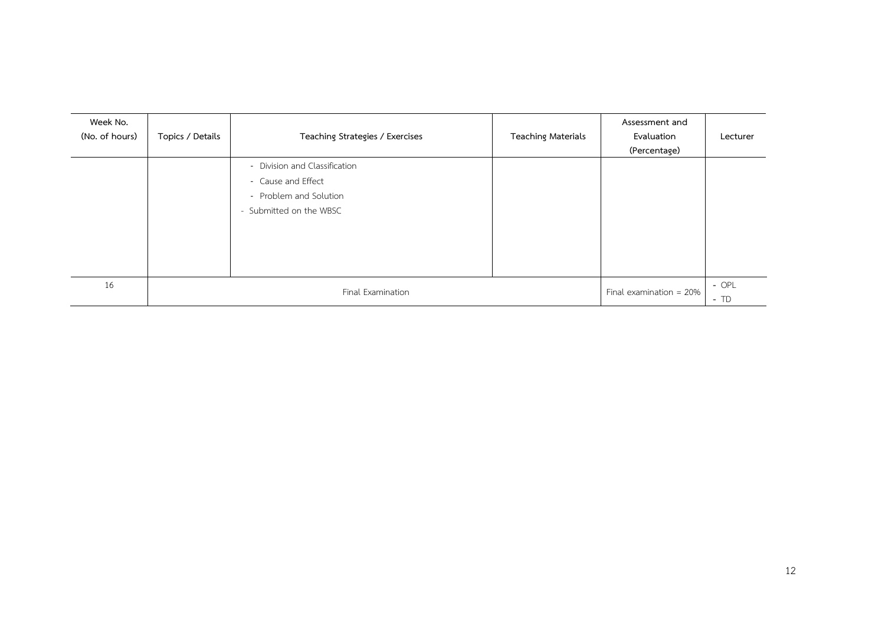| Week No.<br>(No. of hours) | Topics / Details  | Teaching Strategies / Exercises                                                                          | <b>Teaching Materials</b>  | Assessment and<br>Evaluation<br>(Percentage) | Lecturer |
|----------------------------|-------------------|----------------------------------------------------------------------------------------------------------|----------------------------|----------------------------------------------|----------|
|                            |                   | - Division and Classification<br>- Cause and Effect<br>- Problem and Solution<br>- Submitted on the WBSC |                            |                                              |          |
| 16                         | Final Examination |                                                                                                          | Final examination = $20\%$ | $-$ OPL<br>$-TD$                             |          |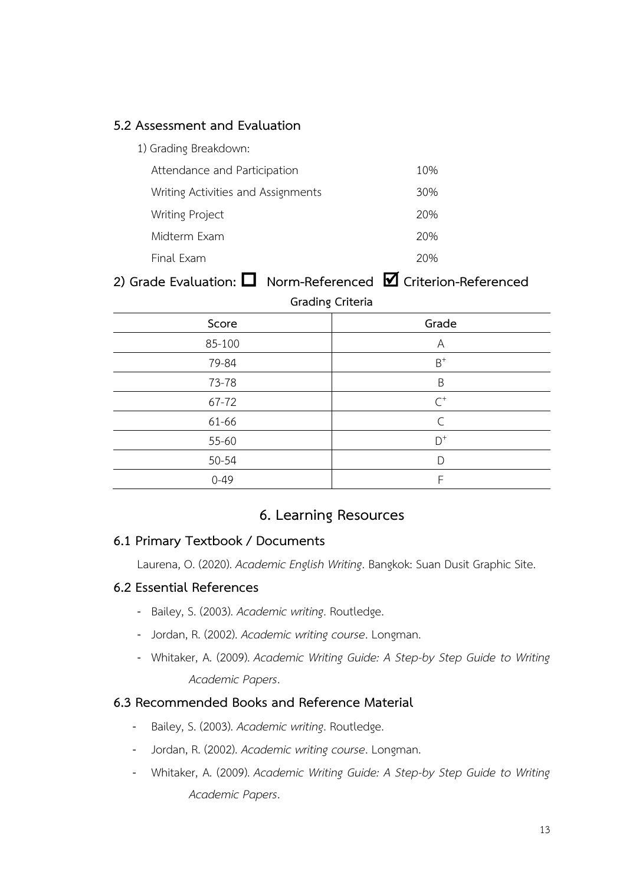#### **5.2 Assessment and Evaluation**

| 1) Grading Breakdown:              |     |
|------------------------------------|-----|
| Attendance and Participation       | 10% |
| Writing Activities and Assignments | 30% |
| <b>Writing Project</b>             | 20% |
| Midterm Exam                       | 20% |
| Final Fxam                         |     |

# **2) Grade Evaluation: Norm-Referenced Criterion-Referenced**

| Grading Criteria |                |  |  |  |  |
|------------------|----------------|--|--|--|--|
| Score            | Grade          |  |  |  |  |
| 85-100           | A              |  |  |  |  |
| 79-84            | $B^+$          |  |  |  |  |
| 73-78            | B              |  |  |  |  |
| 67-72            | $\textsf{C}^+$ |  |  |  |  |
| 61-66            | $\subset$      |  |  |  |  |
| 55-60            | $D^+$          |  |  |  |  |
| 50-54            |                |  |  |  |  |
| $0 - 49$         | F              |  |  |  |  |

## **6. Learning Resources**

#### **6.1 Primary Textbook / Documents**

Laurena, O. (2020). *Academic English Writing*. Bangkok: Suan Dusit Graphic Site.

#### **6.2 Essential References**

- Bailey, S. (2003). *Academic writing*. Routledge.
- Jordan, R. (2002). *Academic writing course*. Longman.
- Whitaker, A. (2009). *Academic Writing Guide: A Step-by Step Guide to Writing Academic Papers*.

#### **6.3 Recommended Books and Reference Material**

- Bailey, S. (2003). *Academic writing*. Routledge.
- Jordan, R. (2002). *Academic writing course*. Longman.
- Whitaker, A. (2009). *Academic Writing Guide: A Step-by Step Guide to Writing Academic Papers*.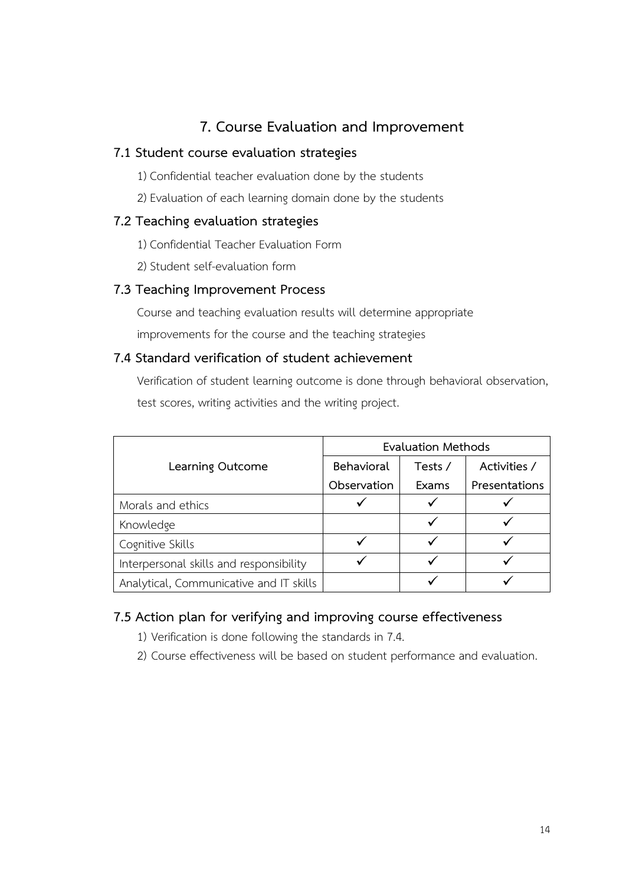# **7. Course Evaluation and Improvement**

#### **7.1 Student course evaluation strategies**

1) Confidential teacher evaluation done by the students

2) Evaluation of each learning domain done by the students

#### **7.2 Teaching evaluation strategies**

- 1) Confidential Teacher Evaluation Form
- 2) Student self-evaluation form

#### **7.3 Teaching Improvement Process**

Course and teaching evaluation results will determine appropriate improvements for the course and the teaching strategies

### **7.4 Standard verification of student achievement**

Verification of student learning outcome is done through behavioral observation, test scores, writing activities and the writing project.

|                                         | <b>Evaluation Methods</b> |         |               |
|-----------------------------------------|---------------------------|---------|---------------|
| Learning Outcome                        | Behavioral                | Tests / | Activities /  |
|                                         | Observation               | Exams   | Presentations |
| Morals and ethics                       |                           |         |               |
| Knowledge                               |                           |         |               |
| Cognitive Skills                        |                           |         |               |
| Interpersonal skills and responsibility |                           |         |               |
| Analytical, Communicative and IT skills |                           |         |               |

### **7.5 Action plan for verifying and improving course effectiveness**

- 1) Verification is done following the standards in 7.4.
- 2) Course effectiveness will be based on student performance and evaluation.